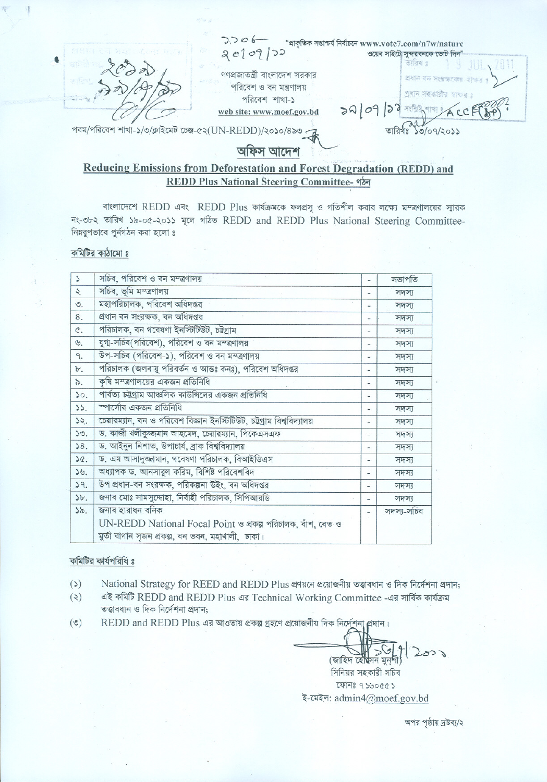'J,J0 6-- "~~~f.rftw1www.vote7.com/n7w/nature  $\alpha$ া গোৱাৰ বাবা সকলে বিজেপি স্থানী নাম কৰা স্থানী নাম স্থানী নাম কৰা স্থানী নাম কৰা স্থানী নাম কৰা স্থানী নাম কৰা স্থানী নাম কৰা স্থানী নাম কৰা স্থানী নাম কৰা স্থানী নাম কৰা স্থানী নাম কৰা স্থানী নাম কৰা স্থানী নাম কৰা  $\chi_{\mathcal{O}}$  and  $\chi_{\mathcal{O}}$  if  $\chi_{\mathcal{O}}$  and  $\chi_{\mathcal{O}}$  is  $\chi_{\mathcal{O}}$  . If  $\chi_{\mathcal{O}}$  is  $\chi_{\mathcal{O}}$  and  $\chi_{\mathcal{O}}$  and  $\chi_{\mathcal{O}}$  and  $\chi_{\mathcal{O}}$  and  $\chi_{\mathcal{O}}$  .  $|$  of  $45$ . . '-"".i  $\sim$  ,  $\sim$  ,  $\sim$  ,  $\sim$  ,  $\sim$  ,  $\sim$  ,  $\sim$  ,  $\sim$  ,  $\sim$  ,  $\sim$  ,  $\sim$  ,  $\sim$  ,  $\sim$  ,  $\sim$  ,  $\sim$  ,  $\sim$  ,  $\sim$  ,  $\sim$  ,  $\sim$  ,  $\sim$  ,  $\sim$  ,  $\sim$  ,  $\sim$  ,  $\sim$  ,  $\sim$  ,  $\sim$  ,  $\sim$  ,  $\sim$  ,  $\sim$  ,  $\sim$  ,  $\sim$  ,  $\sim$  $\frac{1}{\sqrt{2}}$  $\mathcal{L}$  ' , , ..,"'"",' "'4'~""i~! :>- ~" ?:kP #'C ~ <sup>~</sup> <R ~"f'\G'rn ! .' , . ! , -' c. *tr:J-t7j/,* .. / /', <sup>~</sup> "1N1 <sup>~</sup> <sup>i</sup> ,:::1<;)<1 ~i~;;~ <sup>~</sup> *I* web site: www.moef.gov.bd <br>IN-REDD)/2020/820 7  $~\blacksquare$   $~\blacksquare$ 

# **Reducing Emissions from Deforestation and Forest Degradation (REDD) and REDD Plus National Steerin2 Committee- ~**

বাংলাদেশে REDD এবং REDD Plus কার্যক্রমকে ফলপ্রসূ ও গতিশীল করার লক্ষ্যে মম্ত্রণালয়ের স্মারক নং-৩৮২ তারিখ ১৯-০৫-২০১১ মূলে গঠিত REDD and REDD Plus National Steering Committee-নিম্নৱুপভাবে পুৰ্নগঠন করা হলো ঃ

### কমিটির কাঠামো ঃ

 $\mathbf{V}$ 

| $\Delta$        | সচিব, পরিবেশ ও বন মম্ত্রণালয়                                                                                    | ÷                        | সভাপতি     |
|-----------------|------------------------------------------------------------------------------------------------------------------|--------------------------|------------|
| Ś               | সচিব, ভূমি মম্ত্রণালয়                                                                                           | -                        | সদস্য      |
| ৩.              | মহাপরিচালক, পরিবেশ অধিদপ্তর                                                                                      | ۰                        | সদস্য      |
| 8.              | প্ৰধান বন সংরক্ষক, বন অধিদপ্তর                                                                                   |                          | সদস্য      |
| ¢.              | পরিচালক, বন গবেষণা ইনস্টিটিউট, চউগ্রাম                                                                           | ٠                        | সদস্য      |
| $\mathcal{B}$ . | যুগা-সচিব(পরিবেশ), পরিবেশ ও বন মম্ত্রণালয়                                                                       | $\overline{\phantom{a}}$ | সদস্য      |
| ٩.              | উপ-সচিব (পরিবেশ-১), পরিবেশ ও বন মম্ত্রণালয়                                                                      | $\overline{\phantom{0}}$ | সদস্য      |
| Ъ.              | পরিচালক (জলবায়ু পরিবর্তন ও আন্তঃ কনঃ), পরিবেশ অধিদপ্তর                                                          | $\overline{\phantom{a}}$ | সদস্য      |
| ৯.              | কৃষি মম্ত্রণালয়ের একজন প্রতিনিধি                                                                                |                          | সদস্য      |
| 50.             | পার্বত্য চট্টগ্রাম আঞ্চলিক কাউন্সিলের একজন প্রতিনিধি                                                             | $\overline{\phantom{0}}$ | সদস্য      |
| 55.             | স্পার্সোর একজন প্রতিনিধি                                                                                         | -                        | সদস্য      |
| 52.             | চেয়ারম্যান, বন ও পরিবেশ বিজ্ঞান ইনস্টিটিউট, চউগ্রাম বিশ্ববিদ্যালয়                                              | -                        | সদস্য      |
| 50.             | ড. কাজী খলীকুজ্জমান আহমেদ, চেয়ারম্যান, পিকেএসএফ                                                                 |                          | সদস্য      |
| 58.             | ড. আইনুন নিশাত, উপাচাৰ্য, ব্ৰাক বিশ্ববিদ্যালয়                                                                   | $\overline{\phantom{0}}$ | সদস্য      |
| SQ.             | ড. এম আসাদুজ্জামান, গবেষণা পরিচালক, বিআইডিএস                                                                     | $\overline{\phantom{0}}$ | সদস্য      |
| 59.             | অধ্যাপক ড. আনসাৱুল করিম, বিশিষ্ট পরিবেশবিদ                                                                       | ż                        | সদস্য      |
| 59.             | উপ প্রধান-বন সংরক্ষক, পরিকল্পনা উইং, বন অধিদপ্তর                                                                 | -                        | সদস্য      |
| 5b.             | জনাব মোঃ সামসুদ্দোহা, নির্বাহী পরিচালক, সিপিআরডি                                                                 | $\qquad \qquad$          | সদস্য      |
| 55.             | জনাব হারাধন বনিক                                                                                                 |                          | সদস্য-সচিব |
|                 | UN-REDD National Focal Point ও প্রকল্প পরিচালক, বাঁশ, বেত ও<br>মুৰ্তা বাগান সৃজন প্ৰকল্প, বন ভবন, মহাখালী, ঢাকা। |                          |            |

## কমিটির কার্যপরিধি ঃ

- $(3)$ National Strategy for REED and REDD Plus প্ৰণয়নে প্ৰয়োজনীয় তত্তাবধান ও দিক নিৰ্দেশনা প্ৰদান;
- $(5)$ এই কমিটি REDD and REDD Plus এর Technical Working Committee -এর সার্বিক কার্যক্রম<br>তত্ত্বাবধান ও দিক নির্দেশনা প্রদান;
- REDD and REDD Plus এর আওতায় প্রকল্প গ্রহণে প্রয়োজনীয় দিক নির্দেশনা  $(°)$

 $271$  $R = \frac{1}{\frac{1}{\frac{1}{\frac{1}{\frac{1}{\sqrt{1}}}}\left(\frac{1}{\sqrt{1-\frac{1}{\sqrt{1-\frac{1}{\sqrt{1-\frac{1}{\sqrt{1-\frac{1}{\sqrt{1-\frac{1}{\sqrt{1-\frac{1}{\sqrt{1-\frac{1}{\sqrt{1-\frac{1}{\sqrt{1-\frac{1}{\sqrt{1-\frac{1}{\sqrt{1-\frac{1}{\sqrt{1-\frac{1}{\sqrt{1-\frac{1}{\sqrt{1-\frac{1}{\sqrt{1-\frac{1}{\sqrt{1-\frac{1}{\sqrt{1-\frac{1}{\sqrt{1-\frac{1}{\sqrt{1-\frac{1}{\sqrt{1-\frac{1}{$ (জাহিদ হৌষ্দন মুন্শী)<br>সিনিয়র সহকারী সচিব

ফোনঃ ৭১৬০৫৫১ ই-মেইল: admin4@moef.gov.bd

অপর পৃষ্ঠায় দ্রষ্টব্য/২